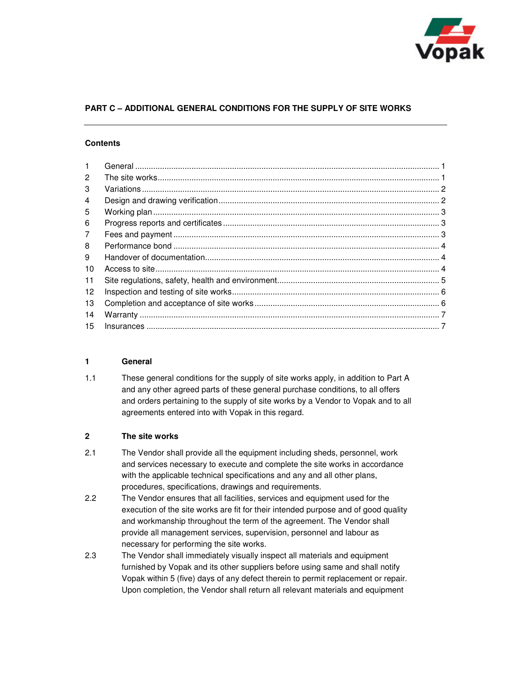

# **PART C – ADDITIONAL GENERAL CONDITIONS FOR THE SUPPLY OF SITE WORKS**

## **Contents**

| $\mathbf{1}$ |  |
|--------------|--|
| 2            |  |
| 3            |  |
| 4            |  |
| 5            |  |
| 6            |  |
| 7            |  |
| 8            |  |
| 9            |  |
| 10           |  |
| 11           |  |
| 12           |  |
| 13           |  |
| 14           |  |
| 15           |  |

#### **1 General**

1.1 These general conditions for the supply of site works apply, in addition to Part A and any other agreed parts of these general purchase conditions, to all offers and orders pertaining to the supply of site works by a Vendor to Vopak and to all agreements entered into with Vopak in this regard.

#### **2 The site works**

- 2.1 The Vendor shall provide all the equipment including sheds, personnel, work and services necessary to execute and complete the site works in accordance with the applicable technical specifications and any and all other plans, procedures, specifications, drawings and requirements.
- 2.2 The Vendor ensures that all facilities, services and equipment used for the execution of the site works are fit for their intended purpose and of good quality and workmanship throughout the term of the agreement. The Vendor shall provide all management services, supervision, personnel and labour as necessary for performing the site works.
- 2.3 The Vendor shall immediately visually inspect all materials and equipment furnished by Vopak and its other suppliers before using same and shall notify Vopak within 5 (five) days of any defect therein to permit replacement or repair. Upon completion, the Vendor shall return all relevant materials and equipment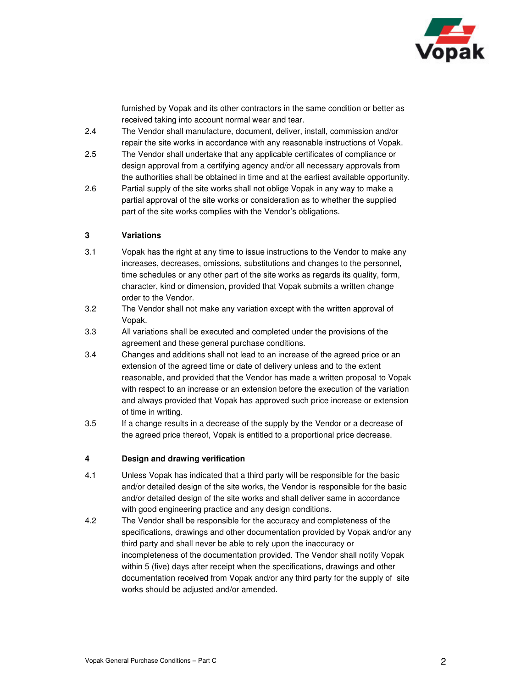

furnished by Vopak and its other contractors in the same condition or better as received taking into account normal wear and tear.

- 2.4 The Vendor shall manufacture, document, deliver, install, commission and/or repair the site works in accordance with any reasonable instructions of Vopak.
- 2.5 The Vendor shall undertake that any applicable certificates of compliance or design approval from a certifying agency and/or all necessary approvals from the authorities shall be obtained in time and at the earliest available opportunity.
- 2.6 Partial supply of the site works shall not oblige Vopak in any way to make a partial approval of the site works or consideration as to whether the supplied part of the site works complies with the Vendor's obligations.

### **3 Variations**

- 3.1 Vopak has the right at any time to issue instructions to the Vendor to make any increases, decreases, omissions, substitutions and changes to the personnel, time schedules or any other part of the site works as regards its quality, form, character, kind or dimension, provided that Vopak submits a written change order to the Vendor.
- 3.2 The Vendor shall not make any variation except with the written approval of Vopak.
- 3.3 All variations shall be executed and completed under the provisions of the agreement and these general purchase conditions.
- 3.4 Changes and additions shall not lead to an increase of the agreed price or an extension of the agreed time or date of delivery unless and to the extent reasonable, and provided that the Vendor has made a written proposal to Vopak with respect to an increase or an extension before the execution of the variation and always provided that Vopak has approved such price increase or extension of time in writing.
- 3.5 If a change results in a decrease of the supply by the Vendor or a decrease of the agreed price thereof, Vopak is entitled to a proportional price decrease.

### **4 Design and drawing verification**

- 4.1 Unless Vopak has indicated that a third party will be responsible for the basic and/or detailed design of the site works, the Vendor is responsible for the basic and/or detailed design of the site works and shall deliver same in accordance with good engineering practice and any design conditions.
- 4.2 The Vendor shall be responsible for the accuracy and completeness of the specifications, drawings and other documentation provided by Vopak and/or any third party and shall never be able to rely upon the inaccuracy or incompleteness of the documentation provided. The Vendor shall notify Vopak within 5 (five) days after receipt when the specifications, drawings and other documentation received from Vopak and/or any third party for the supply of site works should be adjusted and/or amended.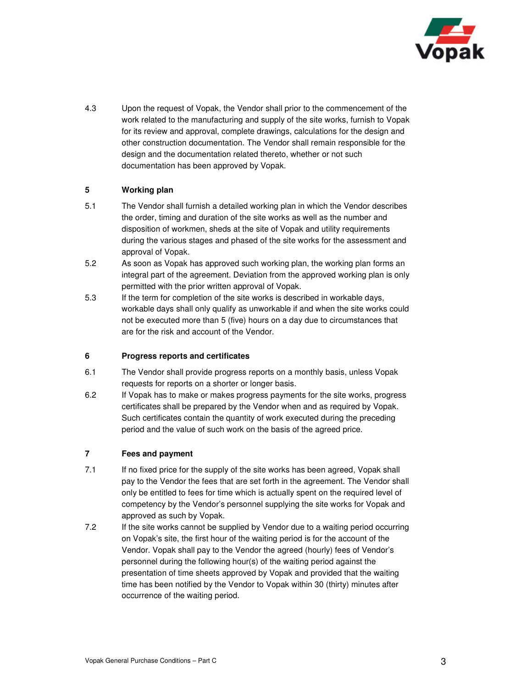

4.3 Upon the request of Vopak, the Vendor shall prior to the commencement of the work related to the manufacturing and supply of the site works, furnish to Vopak for its review and approval, complete drawings, calculations for the design and other construction documentation. The Vendor shall remain responsible for the design and the documentation related thereto, whether or not such documentation has been approved by Vopak.

## **5 Working plan**

- 5.1 The Vendor shall furnish a detailed working plan in which the Vendor describes the order, timing and duration of the site works as well as the number and disposition of workmen, sheds at the site of Vopak and utility requirements during the various stages and phased of the site works for the assessment and approval of Vopak.
- 5.2 As soon as Vopak has approved such working plan, the working plan forms an integral part of the agreement. Deviation from the approved working plan is only permitted with the prior written approval of Vopak.
- 5.3 If the term for completion of the site works is described in workable days, workable days shall only qualify as unworkable if and when the site works could not be executed more than 5 (five) hours on a day due to circumstances that are for the risk and account of the Vendor.

# **6 Progress reports and certificates**

- 6.1 The Vendor shall provide progress reports on a monthly basis, unless Vopak requests for reports on a shorter or longer basis.
- 6.2 If Vopak has to make or makes progress payments for the site works, progress certificates shall be prepared by the Vendor when and as required by Vopak. Such certificates contain the quantity of work executed during the preceding period and the value of such work on the basis of the agreed price.

### **7 Fees and payment**

- 7.1 If no fixed price for the supply of the site works has been agreed, Vopak shall pay to the Vendor the fees that are set forth in the agreement. The Vendor shall only be entitled to fees for time which is actually spent on the required level of competency by the Vendor's personnel supplying the site works for Vopak and approved as such by Vopak.
- 7.2 If the site works cannot be supplied by Vendor due to a waiting period occurring on Vopak's site, the first hour of the waiting period is for the account of the Vendor. Vopak shall pay to the Vendor the agreed (hourly) fees of Vendor's personnel during the following hour(s) of the waiting period against the presentation of time sheets approved by Vopak and provided that the waiting time has been notified by the Vendor to Vopak within 30 (thirty) minutes after occurrence of the waiting period.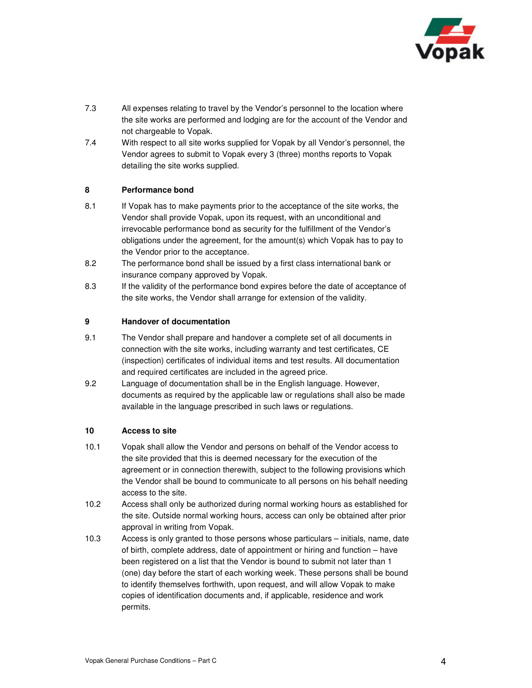

- 7.3 All expenses relating to travel by the Vendor's personnel to the location where the site works are performed and lodging are for the account of the Vendor and not chargeable to Vopak.
- 7.4 With respect to all site works supplied for Vopak by all Vendor's personnel, the Vendor agrees to submit to Vopak every 3 (three) months reports to Vopak detailing the site works supplied.

### **8 Performance bond**

- 8.1 If Vopak has to make payments prior to the acceptance of the site works, the Vendor shall provide Vopak, upon its request, with an unconditional and irrevocable performance bond as security for the fulfillment of the Vendor's obligations under the agreement, for the amount(s) which Vopak has to pay to the Vendor prior to the acceptance.
- 8.2 The performance bond shall be issued by a first class international bank or insurance company approved by Vopak.
- 8.3 If the validity of the performance bond expires before the date of acceptance of the site works, the Vendor shall arrange for extension of the validity.

#### **9 Handover of documentation**

- 9.1 The Vendor shall prepare and handover a complete set of all documents in connection with the site works, including warranty and test certificates, CE (inspection) certificates of individual items and test results. All documentation and required certificates are included in the agreed price.
- 9.2 Language of documentation shall be in the English language. However, documents as required by the applicable law or regulations shall also be made available in the language prescribed in such laws or regulations.

#### **10 Access to site**

- 10.1 Vopak shall allow the Vendor and persons on behalf of the Vendor access to the site provided that this is deemed necessary for the execution of the agreement or in connection therewith, subject to the following provisions which the Vendor shall be bound to communicate to all persons on his behalf needing access to the site.
- 10.2 Access shall only be authorized during normal working hours as established for the site. Outside normal working hours, access can only be obtained after prior approval in writing from Vopak.
- 10.3 Access is only granted to those persons whose particulars initials, name, date of birth, complete address, date of appointment or hiring and function – have been registered on a list that the Vendor is bound to submit not later than 1 (one) day before the start of each working week. These persons shall be bound to identify themselves forthwith, upon request, and will allow Vopak to make copies of identification documents and, if applicable, residence and work permits.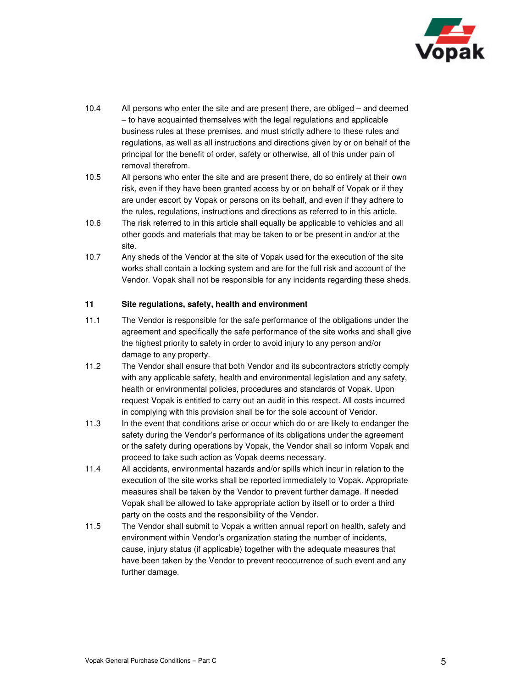

- 10.4 All persons who enter the site and are present there, are obliged and deemed – to have acquainted themselves with the legal regulations and applicable business rules at these premises, and must strictly adhere to these rules and regulations, as well as all instructions and directions given by or on behalf of the principal for the benefit of order, safety or otherwise, all of this under pain of removal therefrom.
- 10.5 All persons who enter the site and are present there, do so entirely at their own risk, even if they have been granted access by or on behalf of Vopak or if they are under escort by Vopak or persons on its behalf, and even if they adhere to the rules, regulations, instructions and directions as referred to in this article.
- 10.6 The risk referred to in this article shall equally be applicable to vehicles and all other goods and materials that may be taken to or be present in and/or at the site.
- 10.7 Any sheds of the Vendor at the site of Vopak used for the execution of the site works shall contain a locking system and are for the full risk and account of the Vendor. Vopak shall not be responsible for any incidents regarding these sheds.

### **11 Site regulations, safety, health and environment**

- 11.1 The Vendor is responsible for the safe performance of the obligations under the agreement and specifically the safe performance of the site works and shall give the highest priority to safety in order to avoid injury to any person and/or damage to any property.
- 11.2 The Vendor shall ensure that both Vendor and its subcontractors strictly comply with any applicable safety, health and environmental legislation and any safety, health or environmental policies, procedures and standards of Vopak. Upon request Vopak is entitled to carry out an audit in this respect. All costs incurred in complying with this provision shall be for the sole account of Vendor.
- 11.3 In the event that conditions arise or occur which do or are likely to endanger the safety during the Vendor's performance of its obligations under the agreement or the safety during operations by Vopak, the Vendor shall so inform Vopak and proceed to take such action as Vopak deems necessary.
- 11.4 All accidents, environmental hazards and/or spills which incur in relation to the execution of the site works shall be reported immediately to Vopak. Appropriate measures shall be taken by the Vendor to prevent further damage. If needed Vopak shall be allowed to take appropriate action by itself or to order a third party on the costs and the responsibility of the Vendor.
- 11.5 The Vendor shall submit to Vopak a written annual report on health, safety and environment within Vendor's organization stating the number of incidents, cause, injury status (if applicable) together with the adequate measures that have been taken by the Vendor to prevent reoccurrence of such event and any further damage.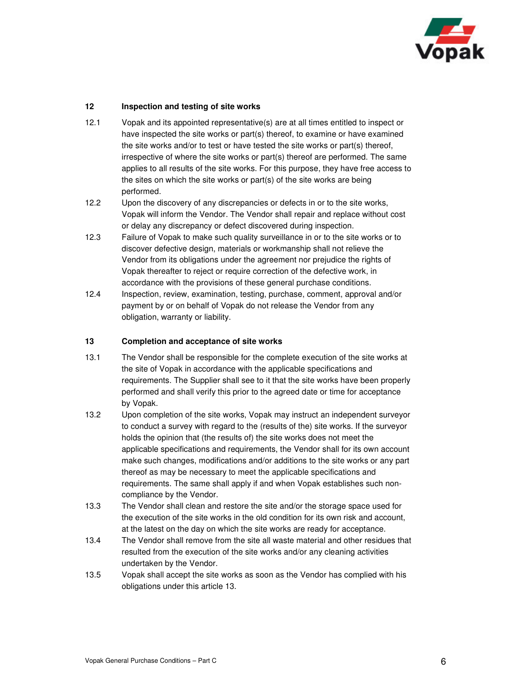

### **12 Inspection and testing of site works**

- 12.1 Vopak and its appointed representative(s) are at all times entitled to inspect or have inspected the site works or part(s) thereof, to examine or have examined the site works and/or to test or have tested the site works or part(s) thereof, irrespective of where the site works or part(s) thereof are performed. The same applies to all results of the site works. For this purpose, they have free access to the sites on which the site works or part(s) of the site works are being performed.
- 12.2 Upon the discovery of any discrepancies or defects in or to the site works, Vopak will inform the Vendor. The Vendor shall repair and replace without cost or delay any discrepancy or defect discovered during inspection.
- 12.3 Failure of Vopak to make such quality surveillance in or to the site works or to discover defective design, materials or workmanship shall not relieve the Vendor from its obligations under the agreement nor prejudice the rights of Vopak thereafter to reject or require correction of the defective work, in accordance with the provisions of these general purchase conditions.
- 12.4 Inspection, review, examination, testing, purchase, comment, approval and/or payment by or on behalf of Vopak do not release the Vendor from any obligation, warranty or liability.

### **13 Completion and acceptance of site works**

- 13.1 The Vendor shall be responsible for the complete execution of the site works at the site of Vopak in accordance with the applicable specifications and requirements. The Supplier shall see to it that the site works have been properly performed and shall verify this prior to the agreed date or time for acceptance by Vopak.
- 13.2 Upon completion of the site works, Vopak may instruct an independent surveyor to conduct a survey with regard to the (results of the) site works. If the surveyor holds the opinion that (the results of) the site works does not meet the applicable specifications and requirements, the Vendor shall for its own account make such changes, modifications and/or additions to the site works or any part thereof as may be necessary to meet the applicable specifications and requirements. The same shall apply if and when Vopak establishes such noncompliance by the Vendor.
- 13.3 The Vendor shall clean and restore the site and/or the storage space used for the execution of the site works in the old condition for its own risk and account, at the latest on the day on which the site works are ready for acceptance.
- 13.4 The Vendor shall remove from the site all waste material and other residues that resulted from the execution of the site works and/or any cleaning activities undertaken by the Vendor.
- 13.5 Vopak shall accept the site works as soon as the Vendor has complied with his obligations under this article 13.